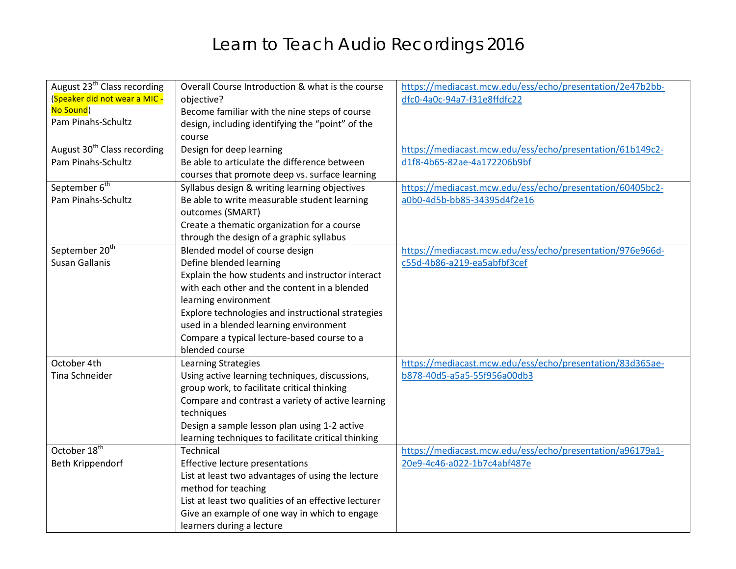## Learn to Teach Audio Recordings 2016

| August 23 <sup>th</sup> Class recording | Overall Course Introduction & what is the course     | https://mediacast.mcw.edu/ess/echo/presentation/2e47b2bb- |
|-----------------------------------------|------------------------------------------------------|-----------------------------------------------------------|
| (Speaker did not wear a MIC -           | objective?                                           | dfc0-4a0c-94a7-f31e8ffdfc22                               |
| No Sound)                               | Become familiar with the nine steps of course        |                                                           |
| Pam Pinahs-Schultz                      | design, including identifying the "point" of the     |                                                           |
|                                         | course                                               |                                                           |
| August 30 <sup>th</sup> Class recording | Design for deep learning                             | https://mediacast.mcw.edu/ess/echo/presentation/61b149c2- |
| Pam Pinahs-Schultz                      | Be able to articulate the difference between         | d1f8-4b65-82ae-4a172206b9bf                               |
|                                         | courses that promote deep vs. surface learning       |                                                           |
| September 6 <sup>th</sup>               | Syllabus design & writing learning objectives        | https://mediacast.mcw.edu/ess/echo/presentation/60405bc2- |
| Pam Pinahs-Schultz                      | Be able to write measurable student learning         | a0b0-4d5b-bb85-34395d4f2e16                               |
|                                         | outcomes (SMART)                                     |                                                           |
|                                         | Create a thematic organization for a course          |                                                           |
|                                         | through the design of a graphic syllabus             |                                                           |
| September 20 <sup>th</sup>              | Blended model of course design                       | https://mediacast.mcw.edu/ess/echo/presentation/976e966d- |
| <b>Susan Gallanis</b>                   | Define blended learning                              | c55d-4b86-a219-ea5abfbf3cef                               |
|                                         | Explain the how students and instructor interact     |                                                           |
|                                         | with each other and the content in a blended         |                                                           |
|                                         | learning environment                                 |                                                           |
|                                         | Explore technologies and instructional strategies    |                                                           |
|                                         | used in a blended learning environment               |                                                           |
|                                         | Compare a typical lecture-based course to a          |                                                           |
|                                         | blended course                                       |                                                           |
| October 4th                             | Learning Strategies                                  | https://mediacast.mcw.edu/ess/echo/presentation/83d365ae- |
| Tina Schneider                          | Using active learning techniques, discussions,       | b878-40d5-a5a5-55f956a00db3                               |
|                                         | group work, to facilitate critical thinking          |                                                           |
|                                         | Compare and contrast a variety of active learning    |                                                           |
|                                         | techniques                                           |                                                           |
|                                         | Design a sample lesson plan using 1-2 active         |                                                           |
|                                         | learning techniques to facilitate critical thinking  |                                                           |
| October 18 <sup>th</sup>                | <b>Technical</b>                                     | https://mediacast.mcw.edu/ess/echo/presentation/a96179a1- |
| Beth Krippendorf                        | Effective lecture presentations                      | 20e9-4c46-a022-1b7c4abf487e                               |
|                                         | List at least two advantages of using the lecture    |                                                           |
|                                         | method for teaching                                  |                                                           |
|                                         | List at least two qualities of an effective lecturer |                                                           |
|                                         | Give an example of one way in which to engage        |                                                           |
|                                         | learners during a lecture                            |                                                           |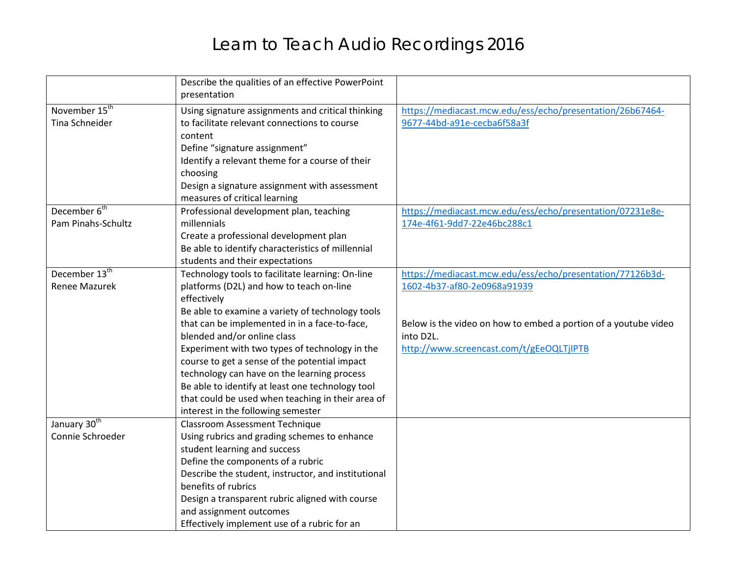## Learn to Teach Audio Recordings 2016

|                           | Describe the qualities of an effective PowerPoint<br>presentation |                                                                 |
|---------------------------|-------------------------------------------------------------------|-----------------------------------------------------------------|
| November 15 <sup>th</sup> | Using signature assignments and critical thinking                 | https://mediacast.mcw.edu/ess/echo/presentation/26b67464-       |
| <b>Tina Schneider</b>     | to facilitate relevant connections to course                      | 9677-44bd-a91e-cecba6f58a3f                                     |
|                           | content                                                           |                                                                 |
|                           | Define "signature assignment"                                     |                                                                 |
|                           | Identify a relevant theme for a course of their                   |                                                                 |
|                           | choosing                                                          |                                                                 |
|                           | Design a signature assignment with assessment                     |                                                                 |
|                           | measures of critical learning                                     |                                                                 |
| December 6 <sup>th</sup>  | Professional development plan, teaching                           | https://mediacast.mcw.edu/ess/echo/presentation/07231e8e-       |
| Pam Pinahs-Schultz        | millennials                                                       | 174e-4f61-9dd7-22e46bc288c1                                     |
|                           | Create a professional development plan                            |                                                                 |
|                           | Be able to identify characteristics of millennial                 |                                                                 |
|                           | students and their expectations                                   |                                                                 |
| December 13 <sup>th</sup> | Technology tools to facilitate learning: On-line                  | https://mediacast.mcw.edu/ess/echo/presentation/77126b3d-       |
| <b>Renee Mazurek</b>      | platforms (D2L) and how to teach on-line                          | 1602-4b37-af80-2e0968a91939                                     |
|                           | effectively                                                       |                                                                 |
|                           | Be able to examine a variety of technology tools                  |                                                                 |
|                           | that can be implemented in in a face-to-face,                     | Below is the video on how to embed a portion of a youtube video |
|                           | blended and/or online class                                       | into D2L.                                                       |
|                           | Experiment with two types of technology in the                    | http://www.screencast.com/t/gEeOQLTjIPTB                        |
|                           | course to get a sense of the potential impact                     |                                                                 |
|                           | technology can have on the learning process                       |                                                                 |
|                           | Be able to identify at least one technology tool                  |                                                                 |
|                           | that could be used when teaching in their area of                 |                                                                 |
|                           | interest in the following semester                                |                                                                 |
| January 30 <sup>th</sup>  | <b>Classroom Assessment Technique</b>                             |                                                                 |
| Connie Schroeder          | Using rubrics and grading schemes to enhance                      |                                                                 |
|                           | student learning and success                                      |                                                                 |
|                           | Define the components of a rubric                                 |                                                                 |
|                           | Describe the student, instructor, and institutional               |                                                                 |
|                           | benefits of rubrics                                               |                                                                 |
|                           | Design a transparent rubric aligned with course                   |                                                                 |
|                           | and assignment outcomes                                           |                                                                 |
|                           | Effectively implement use of a rubric for an                      |                                                                 |